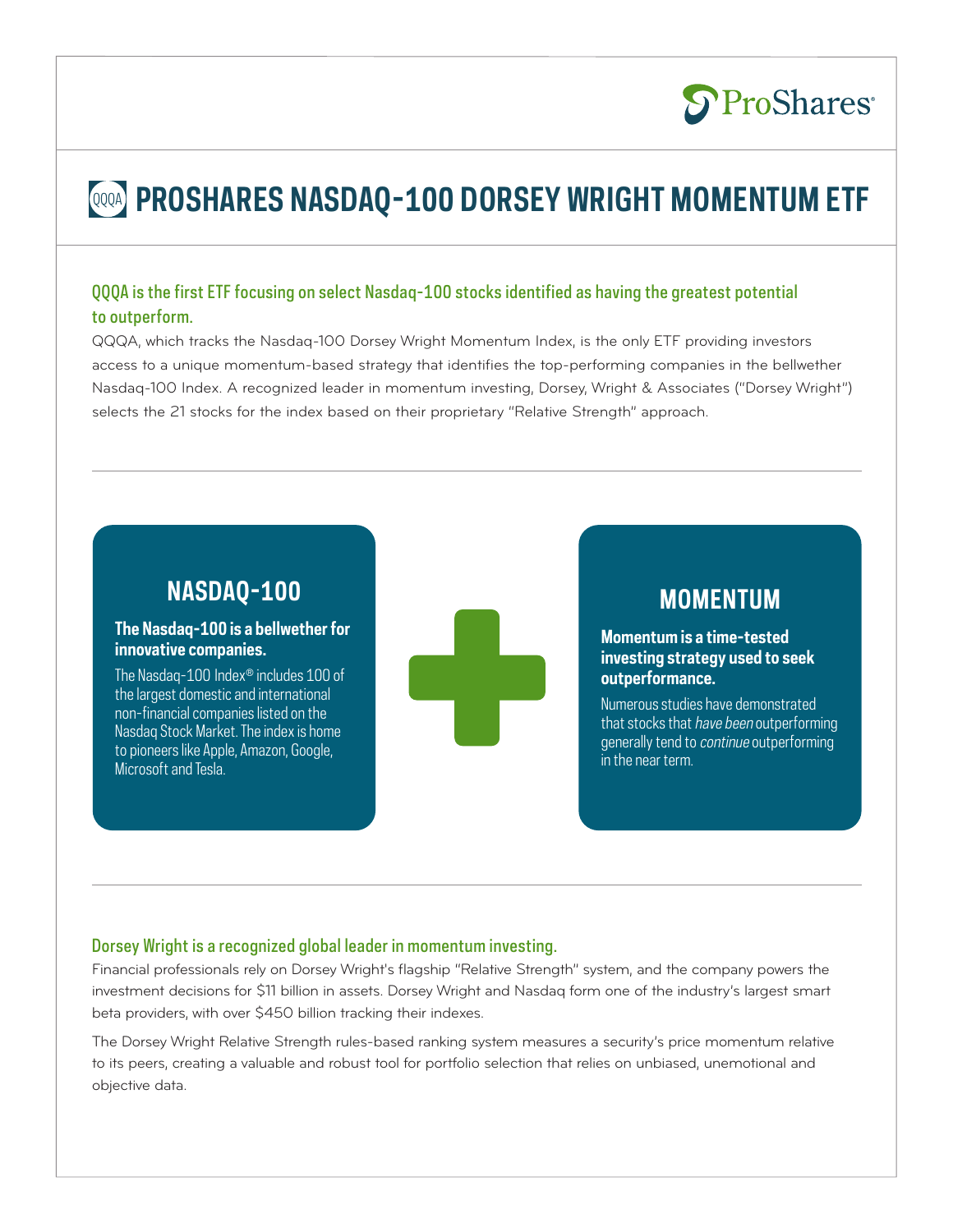# **S**ProShares®

# **QQQA PROSHARES NASDAQ-100 DORSEY WRIGHT MOMENTUM ETF**

## QQQA is the first ETF focusing on select Nasdaq-100 stocks identified as having the greatest potential to outperform.

QQQA, which tracks the Nasdaq-100 Dorsey Wright Momentum Index, is the only ETF providing investors access to a unique momentum-based strategy that identifies the top-performing companies in the bellwether Nasdaq-100 Index. A recognized leader in momentum investing, Dorsey, Wright & Associates ("Dorsey Wright") selects the 21 stocks for the index based on their proprietary "Relative Strength" approach.

## **NASDAQ-100**

## **The Nasdaq-100 is a bellwether for innovative companies.**

The Nasdaq-100 Index® includes 100 of the largest domestic and international non-financial companies listed on the Nasdaq Stock Market. The index is home to pioneers like Apple, Amazon, Google, Microsoft and Tesla.



## **MOMENTUM**

## **Momentum is a time-tested investing strategy used to seek outperformance.**

Numerous studies have demonstrated that stocks that have been outperforming generally tend to continue outperforming in the near term.

### Dorsey Wright is a recognized global leader in momentum investing.

Financial professionals rely on Dorsey Wright's flagship "Relative Strength" system, and the company powers the investment decisions for \$11 billion in assets. Dorsey Wright and Nasdaq form one of the industry's largest smart beta providers, with over \$450 billion tracking their indexes.

The Dorsey Wright Relative Strength rules-based ranking system measures a security's price momentum relative to its peers, creating a valuable and robust tool for portfolio selection that relies on unbiased, unemotional and objective data.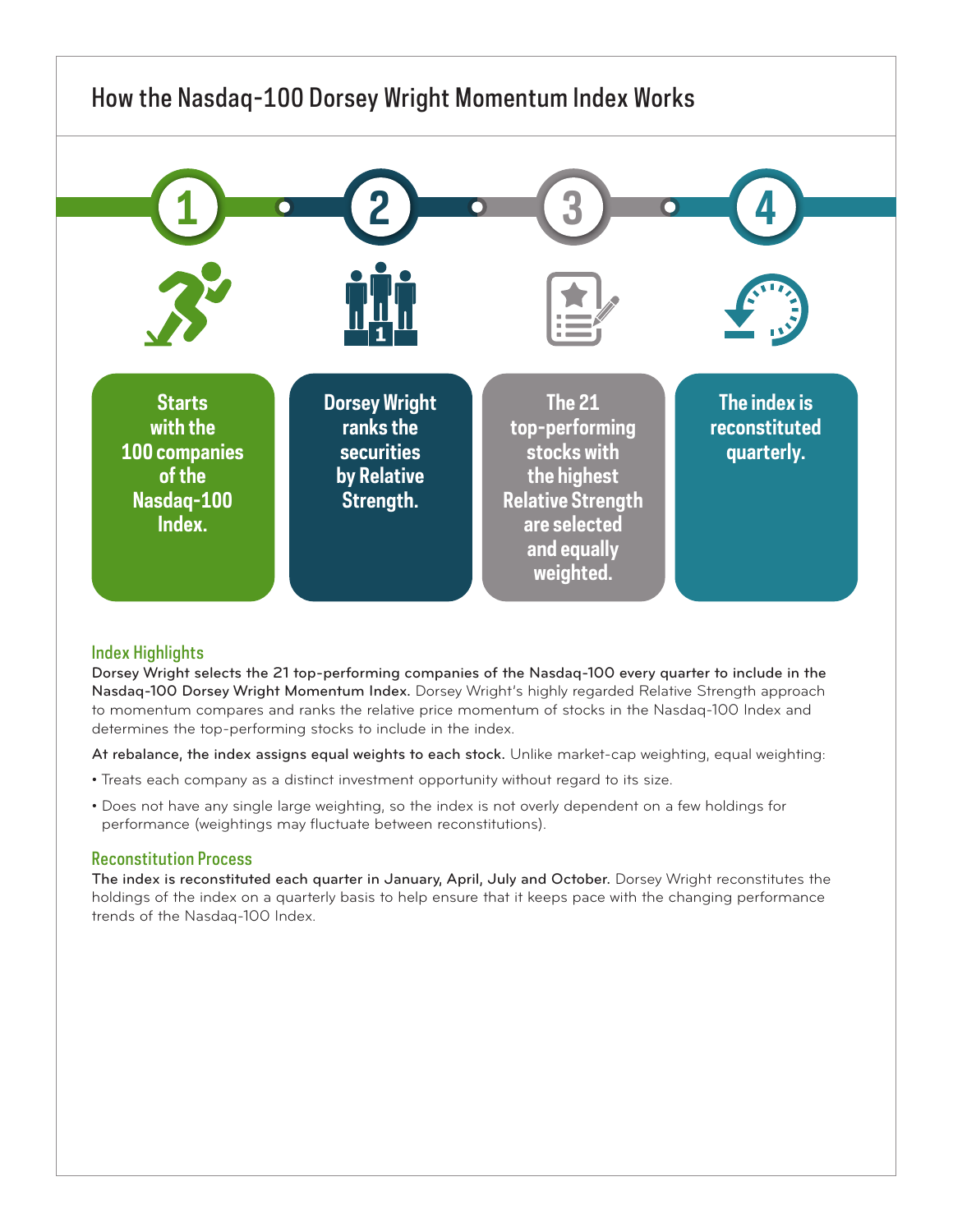

### Index Highlights

Dorsey Wright selects the 21 top-performing companies of the Nasdaq-100 every quarter to include in the Nasdaq-100 Dorsey Wright Momentum Index. Dorsey Wright's highly regarded Relative Strength approach to momentum compares and ranks the relative price momentum of stocks in the Nasdaq-100 Index and determines the top-performing stocks to include in the index.

At rebalance, the index assigns equal weights to each stock. Unlike market-cap weighting, equal weighting:

- Treats each company as a distinct investment opportunity without regard to its size.
- Does not have any single large weighting, so the index is not overly dependent on a few holdings for performance (weightings may fluctuate between reconstitutions).

### Reconstitution Process

The index is reconstituted each quarter in January, April, July and October. Dorsey Wright reconstitutes the holdings of the index on a quarterly basis to help ensure that it keeps pace with the changing performance trends of the Nasdaq-100 Index.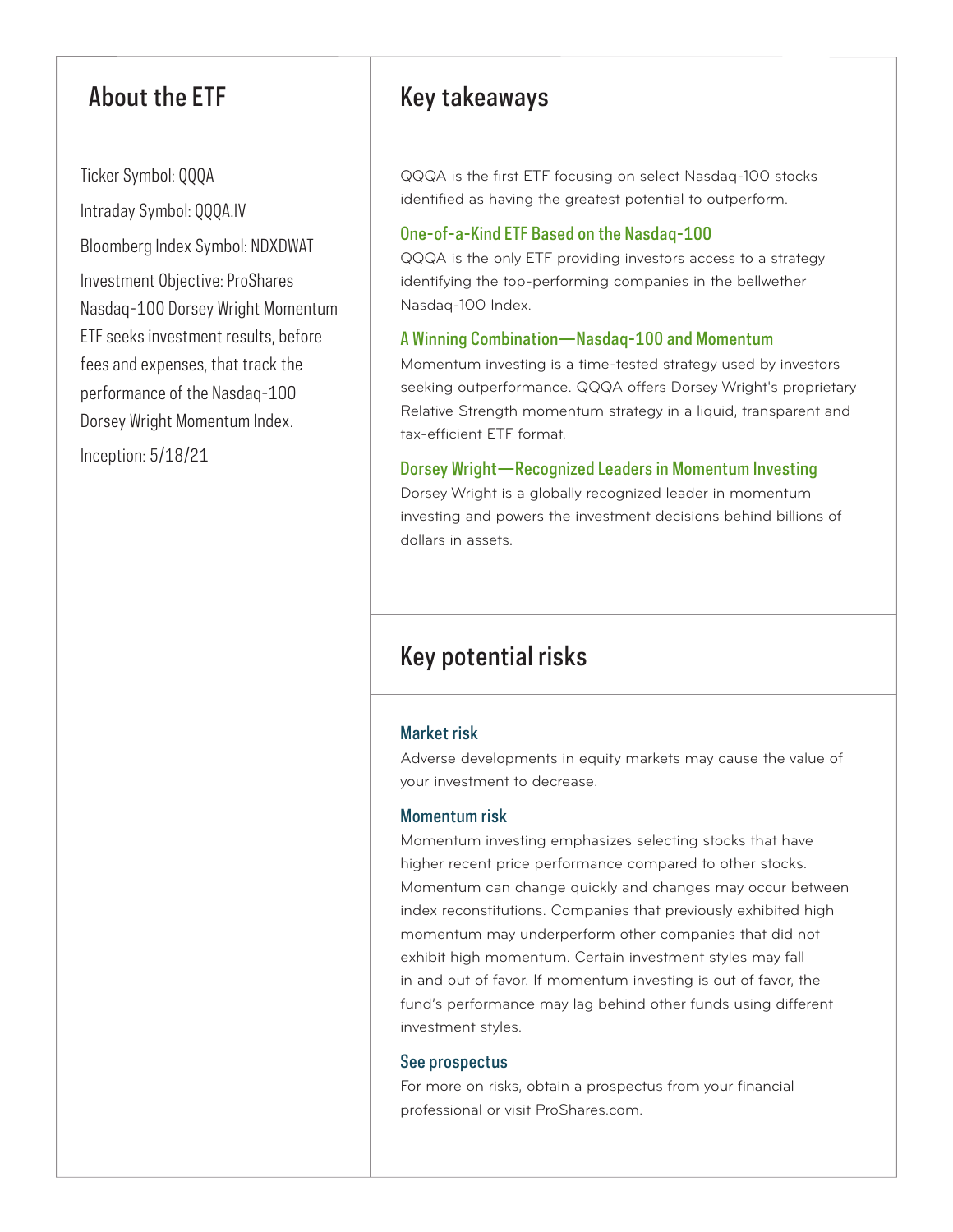Ticker Symbol: QQQA

Intraday Symbol: QQQA.IV

Bloomberg Index Symbol: NDXDWAT

Investment Objective: ProShares Nasdaq-100 Dorsey Wright Momentum ETF seeks investment results, before fees and expenses, that track the performance of the Nasdaq-100 Dorsey Wright Momentum Index.

Inception: 5/18/21

## About the ETF Key takeaways

QQQA is the first ETF focusing on select Nasdaq-100 stocks identified as having the greatest potential to outperform.

## One-of-a-Kind ETF Based on the Nasdaq-100

QQQA is the only ETF providing investors access to a strategy identifying the top-performing companies in the bellwether Nasdaq-100 Index.

## A Winning Combination—Nasdaq-100 and Momentum

Momentum investing is a time-tested strategy used by investors seeking outperformance. QQQA offers Dorsey Wright's proprietary Relative Strength momentum strategy in a liquid, transparent and tax-efficient ETF format.

## Dorsey Wright—Recognized Leaders in Momentum Investing

Dorsey Wright is a globally recognized leader in momentum investing and powers the investment decisions behind billions of dollars in assets.

## Key potential risks

## Market risk

Adverse developments in equity markets may cause the value of your investment to decrease.

## Momentum risk

Momentum investing emphasizes selecting stocks that have higher recent price performance compared to other stocks. Momentum can change quickly and changes may occur between index reconstitutions. Companies that previously exhibited high momentum may underperform other companies that did not exhibit high momentum. Certain investment styles may fall in and out of favor. If momentum investing is out of favor, the fund's performance may lag behind other funds using different investment styles.

## See prospectus

For more on risks, obtain a prospectus from your financial professional or visit ProShares.com.